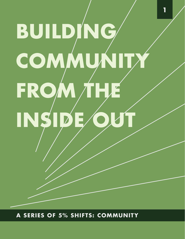# **BUILDING cOMMUnITy FROM ThE**  INSIDE

**1**

**A SERIES OF 5% SHIFTS: COMMUNIT**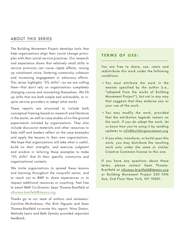#### ABOUT THIS SERIES

The Building Movement Project develops tools that help organizations align their social change principles with their social service practices. Our research and experience shows that relatively small shifts in service provision can cause ripple effects; raising up constituent voice, fostering community cohesion and increasing engagement in advocacy efforts. This series highlights "5% shifts"—as we are calling them—that don't rely on organizations completely changing course and reinventing themselves. We lift up shifts that are both simple and achievable, to inspire service providers to adapt what works.

These reports are structured to include both conceptual framing based on research and literature in the sector, as well as case studies of on-the-ground experiments initiated by organizations. They also include discussion materials and other resources to help staff and leaders reflect on the case examples and apply the lessons to their own organizations. We hope that organizations will take what is useful, build on their strengths, and exercise judgment and wisdom in tailoring these examples to make "5% shifts" that fit their specific community and organizational contexts.

We invite organizations to spread these lessons and learning throughout the nonprofit sector, and to reach out to BMP to share experiences or to request additional resources or coaching. Feel free to email BMP Co-Director Sean Thomas-Breitfeld at sthomas-breitfeld@demos.org.

Thanks go to our team of authors and reviewers: Caroline McAndrews, Hai Binh Nguyen and Sean Thomas-Breitfeld co-wrote this report; Nina Dastur, Melinda Lewis and Beth Zemsky provided important feedback.

#### **TERMS OF USE:**

You are free to share, use, remix and redistribute this work under the following conditions:

- You must attribute the work in the manner specified by the author (i.e., "adapted from the works of Building Movement Project"), but not in any way that suggests that they endorse you or your use of the work.
- You may modify the work, provided that the attribution legends remain on the work. If you do adapt the work, let us know how you're using it by sending updates to info@buildingmovement.org
- If you alter, transform, or build upon this work, you may distribute the resulting work only under the same or similar Creative Commons license to this one.

If you have any questions about these terms, please contact Sean Thomas-Breitfeld at sthomas-breitfeld@demos.org or Building Movement Project 220 Fifth Ave, 2nd Floor New York, NY 10001.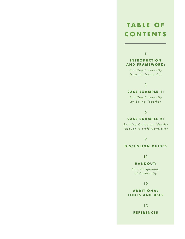# **Ta B l E O F cOnTEnTS**

1

#### **INTRODUCTION and FRaMEwORk:**

*B u i l d i n g C o m m u n i t y from the Inside Out*

#### 3

#### **CASE EXAMPLE 1:**

*B u i l d i n g C o m m u n i t y by Eating Together*

6

#### **CASE EXAMPLE 2:**

*B u i l d i n g C o l l e c t i v e I d e n t i t y Through A Staff Newsletter*

9

#### **dIScUSSIOn gUIdES**

11

#### **HANDOUT:**

 $Four$  Components *of Community*

12

#### **a d d I T I O n a l TOOlS and USES**

13

**REFEREncES**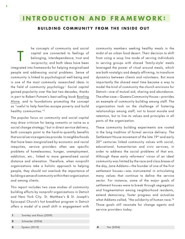# **In tro d u c tio n and F r a me wor k :**

#### **BUILDING COMMUNITY FROM THE INSIDE OUT**

T he concepts of community and social capital are connected to feelings of belonging, interdependence, trust and reciprocity; and both ideas have been integrated into frameworks for helping marginalized people and addressing social problems. Sense of community is linked to psychological well-being and is one of the most commonly researched ideas in the field of community psychology.<sup>1</sup> Social capital gained popularity over the last two decades, thanks in part to Robert Putnam's best-selling book Bowling Alone, and to foundations promoting the concept as "useful to help families escape poverty and build healthy communities."2

The popular focus on community and social capital may draw criticism for being romantic or naïve as a social change strategy,3 but in direct service delivery, both concepts point to the hard-to-quantify benefits that social service agencies provide. In neighborhoods that have been marginalized by economic and racial inequities, service providers often see specific problems of homelessness, hunger, unemployment, addiction, etc., linked to more generalized social distance and alienation. Therefore, when nonprofit organizations take a holistic approach to helping people, they should not overlook the importance of building a sense of community within their organization and among clients.

This report includes two case studies of community building efforts by nonprofit organizations in Detroit and New York City. St. Matthew's & St. Joseph's Episcopal Church's hot breakfast program in Detroit offers a model of a small shift in engagement with

community members seeking healthy meals in the midst of an urban food desert. Their decision to shift from using a soup line mode of serving individuals to serving groups with shared 'family-style' meals leveraged the power of ritual around meals, which are both nostalgic and deeply affirming, to transform dynamics between clients and volunteers. But more importantly the shared meal time became a way to model the kind of community the church envisions for Detroit—one of mutual aid, sharing and abundance. The other case—Queens Community House—provides an example of community building among staff. The organization took on the challenge of fostering relationships among staff; not to boost morale and retention, but to live its values and principles in all parts of the organization.

These community building experiments are rooted in the long tradition of formal service delivery. The Settlement House movement of the late 19<sup>th</sup> and early 20<sup>th</sup> centuries linked community values with social, educational, humanitarian and civic services, in order to address the social problems of that era. Although these early reformers' vision of an ideal community was limited by the race and class biases of the day, Jane Addams—the founder of one of the first settlement houses—was instrumental in articulating many values that continue to define the service sector. For instance, some of the major goals of settlement houses were to break through segregation and fragmentation among neighborhood residents, extend democracy, foster progress and actualize what Addams called, "the solidarity of human race."4 Those goals still resonate for change agents and service providers today.

- **1** Townley and Kloos (2009)
- **2** Schneider (2004)
- **3** Epstein (2010)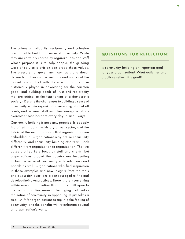The values of solidarity, reciprocity and cohesion are critical to building a sense of community. While they are certainly shared by organizations and staff whose purpose it is to help people, the grinding work of service provision can erode these values. The pressures of government contracts and donor demands to take on the methods and values of the market can conflict with the role nonprofits have historically played in advocating for the common good, and building bonds of trust and reciprocity that are critical to the functioning of a democratic society.<sup>5</sup> Despite the challenges to building a sense of community within organizations—among staff at all levels, and between staff and clients—organizations overcome these barriers every day in small ways.

Community building is not a new practice. It is deeply ingrained in both the history of our sector, and the fabric of the neighborhoods that organizations are embedded in. Organizations may define community differently, and community building efforts will look different from organization to organization. The two cases profiled here focus on staff and clients, but organizations around the country are innovating to build a sense of community with volunteers and boards as well. Organizations who find inspiration in these examples and new insights from the tools and discussion questions are encouraged to find and develop their own practices. There is surely something within every organization that can be built upon to create that familiar sense of belonging that makes the notion of community so appealing. It just takes a small shift for organizations to tap into the feeling of community, and the benefits will reverberate beyond an organization's walls.

#### **Questions for Reflection :**

Is community building an important goal for your organization? What activities and practices reflect this goal?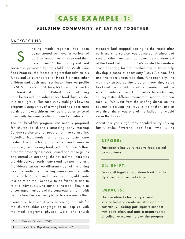#### **BUILDING COMMUNITY BY EATING TOGETHER**

#### **BACKGROUND**

S haring meals together has been demonstrated to have a variety of positive impacts on children and their development.<sup>6</sup> In fact, this style of meal service is promoted by the Child and Adult Care Food Program, the federal program that administers funds and sets standards for Head Start and other children and adult meal services.7 Here we profile the St. Matthew's and St. Joseph's Episcopal Church's hot breakfast program in Detroit. Instead of lining up to be served, individuals share food 'family style' in a small group. This case study highlights how the program's unique way of serving food has led to more participant ownership as well as a greater sense of community between participants and volunteers.

The hot breakfast program was initially prepared for church parishioners attending early morning Sunday service and for people from the community, including individuals from a nearby foster care center. The church's guilds rotated each week in preparing and serving food. When Alethea Belfon, a retired property assessor, joined one of the guilds and started volunteering, she noticed that there was a divide between parishioners and non-parishioners: individuals sat on two different sides of the dining room depending on how they were associated with the church. So she and others in her guild made it a point on their Sundays to be friendlier and to talk to individuals who came to the meal. They also encouraged members of the congregation to sit with people from the community to get to know each other.

Eventually, because it was becoming difficult for the church's older congregation to keep up with the meal program's physical work, and church

members had stopped coming to the meals after early morning service was canceled, Alethea and several other members took over the management of the breakfast program. "We wanted to create a sense of caring for one another and to try to help develop a sense of community," says Alethea. She and the team understood that, fundamentally, the way they structured the program—how they serve food and the individuals who came—impacted the way individuals interact and relate to each other, so they tested different manners of service. Alethea recalls, "We went from the chafing dishes on the counter to serving the trays in the kitchen, and at one time, there was one of the ladies that would serve the tables."

About four years ago, they decided to try serving family style. Reverend Joan Ross, who is the

#### **B efore :**

Participants line up to receive food served by volunteers.

#### **5% Sh ift :**

People sit together and share food "family style" out of communal dishes.

#### **I m pac ts :**

The transition to family style meal service helps to create an atmosphere of community, leading participants connect with each other, and gain a greater sense of collective ownership over the program.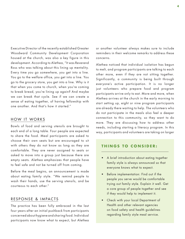Executive Director of the recently established Greater Woodward Community Development Corporation housed at the church, was also a key figure in this development. According to Alethea, "It was Reverend Ross who was talking about this lining up mentality. Every time you go somewhere, you get into a line. You go to the welfare office, you get into a line. You go to the grocery store, you get into a line. Why is it that when you come to church, when you're coming to break bread, you're lining up again? And maybe we can break that cycle. See if we can create a sense of eating together, of having fellowship with one another. And that's how it started."

#### HOW IT WORKS

Bowls of food and serving utensils are brought to each end of a long table. Four people are expected to share the food. Meal participants are asked to choose their own seats but are encouraged to sit with others they do not know as long as they are comfortable. They are never assigned to seats or asked to move into a group just because there are empty seats. Alethea emphasizes that people have to feel safe and not be turned off from coming.

Before the meal begins, an announcement is made about eating family style. "We remind people to wash their hands, use the serving utensils, and be courteous to each other."

#### RESPONSE & IMPACTS

The practice has been fully embraced in the last four years after an initial pushback from participants concerned about hygiene and sharing food. Individual participants now know what to expect, but Alethea

or another volunteer always makes sure to include reminders in their welcome remarks to address these concerns.

Alethea noticed that individual isolation has begun to melt, and program participants are talking to each other more, even if they are not sitting together. Significantly, a community is being built through everyone's active participation. It is no longer just volunteers who prepare food and program participants arrive only to eat. More and more, when Alethea arrives at the church in the early morning to start setting up, eight or nine program participants are already there waiting to help. The volunteers who do not participate in the meals also feel a deeper connection to this community, so they want to do more. They are discussing how to address other needs, including starting a literacy program. In this way, participants and volunteers are taking on larger

#### **in THINGS TO CONSIDER:**

- A brief introduction about eating together family style is always announced so that everyone knows what to expect.
- Before implementation: Find out if the people you serve would be comfortable trying out family style. Explain it well. Get a core group of people together and see if they would help to implement it.
- Check with your local Department of Health and other relevant agencies on food safety and health guidelines regarding family style meal service.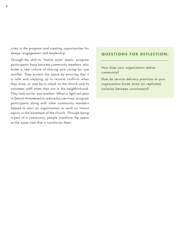roles in the program and creating opportunities for deeper engagement and leadership.

Through the shift to "family style" meals, program participants have become community members who foster a new culture of sharing and caring for one another. They protect the space by ensuring that it is safe and stepping up to resolve conflicts when they arise, or stop by to check on the church and its volunteer staff when they are in the neighborhood. They look out for one another. When a light rail plan in Detroit threatened to reduce bus services, program participants along with other community members helped to start an organization to work on transit equity in the basement of the church. Through being a part of a community, people transform the space at the same time that it transforms them.

#### **Questions for Reflection :**

How does your organization define community?

How do service delivery practices at your organization break down (or replicate) isolation between constituents?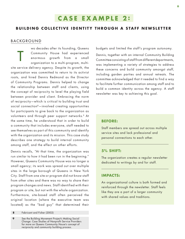# **C a se Exa m p l e 2 :**

#### **BUILDING COLLECTIVE IDENTITY THROUGH A STAFF NEWSLETTER**

#### **BACKGROUND**

T wo decades after its founding, Queens Community House had experienced enormous growth from a small organization to a multi-program, multisite service delivery agency. Despite its growth, the organization was committed to return to its activist roots, and hired Dennis Redmond as the Director of Community Programs. Dennis helped to change the relationship between staff and clients, using the concept of reciprocity to level the playing field between provider and client. Embracing the norm of reciprocity—which is critical to building trust and social connection<sup>8</sup>-involved creating opportunities for participants to give back to the organization as volunteers and through peer support networks.<sup>9</sup> At the same time, he understood that in order to build a community that includes everyone, staff needed to see themselves as part of this community and identify with the organization and its mission. This case study describes one strategy to build internal community among staff, and the effect on other efforts.

Dennis recalls, "At that time, the organization was run similar to how it had been run in the beginning." However, Queens Community House was no longer a small agency; its work was spread out over multiple sites in the large borough of Queens in New York City. Staff from one site or program did not know staff from other sites and there was no way to share their program changes and news. Staff identified with their program or site, but not with the whole organization. Furthermore, site-based staff often perceived the original location (where the executive team was located) as the "bad guy" that determined their

 **8** Fabricant and Fisher (2002)

**9** See the Building Movement Project's Making Social Change: Case Studies of Nonprofit Service Providers for more on Queens Community House's concept of reciprocity and community building process.

budgets and limited the staff's program autonomy.

Dennis, together with an internal Community Building Committee consisting of staff from different departments, was implementing a variety of strategies to address these concerns and build community amongst staff, including garden parties and annual retreats. The committee acknowledged that it needed to find a way to facilitate further communication among staff and to build a common identity across the agency. A staff newsletter was key to achieving this goal.

#### **Before:**

Staff members are spread out across multiple service sites and lack professional and personal connections to each other.

#### **5% Shift:**

The organization creates a regular newsletter dedicated to writings by and for staff.

#### **Impacts:**

An organizational culture is both formed and reinforced through the newsletter. Staff feels like they are a part of a larger community with shared values and traditions.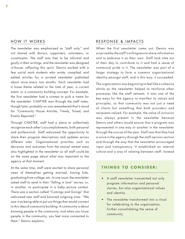#### HOW IT WORKS

The newsletter was emphasized as "staff only," and not shared with donors, supporters, volunteers, or constituents. The staff was free to be informal and goofy in their writings, and the newsletter was designed in-house, reflecting this spirit. Dennis worked with a few social work students who wrote, compiled, and edited articles for a printed newsletter published about once every two months. Each newsletter had a loose theme related to the time of year, a current event, or a community building concept. For example, the first newsletter had a contest to pick a name for the newsletter. CHATTER won through the staff votes, though later, probably no one remembered that it stood for "Community House Articles, Timely, Toned, and Events Reported."

Through CHATTER, staff had a place to collectively recognize each other's accomplishments, both personal and professional. Staff welcomed the opportunity to share their program descriptions and updates across different sites. Organizational priorities such as decisions and outcomes from the annual retreat were also highlighted in the newsletter so all staff could be on the same page about what was important to the agency at that moment.

At the same time, staff were excited to share personal news of themselves getting married, having kids, graduating from college, etc. In one issue, the newsletter asked staff to send in their "falling in love" stories, or, in another, to participate in a baby picture contest. There was a section called "Comings and Goings" that welcomed new staff and honored outgoing ones. "We saw it as being able to put out things that would connect to this idea of community building. A community is about *knowing* people in the community, and when you know people in the community, you feel more connected to them," Dennis explains.

#### RESPONSE & IMPACTS

When the first newsletter came out, Dennis was surprised by the staff's willingness to share information and to embrace it as their own. Staff took time out of their day to contribute to it and had a sense of communal pride in it. The newsletter was part of a larger strategy to form a common organizational identity amongst staff, and in this way, it succeeded.

The organization was beginning to feel like a cohesive whole as the newsletter helped to reinforce other processes like the staff retreats. It was one of the key ways for the agency to manifest its values and principles, so that community was not just a need of clients but something that both providers and recipients valued. For example, the value of inclusion was always present in the newsletter because Dennis and others would ensure that a program was represented in one way or another in the newsletter through the course of the year. Staff saw that they had a voice in the agency through the staff opinion section and through the way that the newsletter encouraged input and transparency. It established an internal culture and a way of relating between staff. Instead

#### **T h i n g s to c o n si d er :**

- A staff newsletter transmitted not only program information and personal stories, but also organizational values and identity.
- The newsletter transformed into a ritual for celebrating to the organization, further consolidating the sense of community.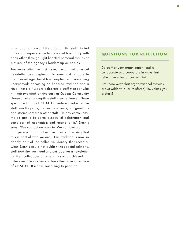of antagonism toward the original site, staff started to feel a deeper connectedness and familiarity with each other through light-hearted personal stories or pictures of the agency's leadership as babies.

Ten years after the first issue, the printed physical newsletter was beginning to seem out of date in the internet age, but it has morphed into something unexpected; becoming an honored tradition and a ritual that staff uses to celebrate a staff member who hit their twentieth anniversary at Queens Community House or when a long-time staff member leaves. These special editions of CHATTER feature photos of the staff over the years, their achievements, and greetings and stories sent from other staff. "In any community, there's got to be some aspects of celebration and some sort of mechanism and means for it," Dennis says. "We can put on a party. We can buy a gift for that person. But this became a way of saying that this is part of who we are." This tradition is now so deeply part of the collective identity that recently, when Dennis could not publish the special editions, staff took the masthead and put together a newsletter for their colleagues or supervisors who achieved this milestone. "People have to have their special edition of CHATTER. It means something to people."

#### **Questions for Reflection :**

Do staff at your organization tend to collaborate and cooperate in ways that reflect the value of community?

Are there ways that organizational systems are at odds with (or reinforce) the values you profess?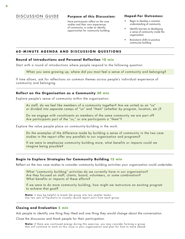#### Discussion G u i d e **Hoped-For Outcomes: Purpose of this Discussion:**

Have participants reflect on the case studies and their own experiences of community, in order to identify opportunities for community building.

- Begin to develop a common understanding of community
- Identify barriers to developing a sense of community inside the organization
- Brainstorm shifts to practice community building

#### **60-M i n ute A g e nda and Dis c ussio n Q uestio n s**

#### **Round of Introductions and Personal Reflection 10 min**

Start with a round of introductions where people respond to the following question:

When you were growing up, where did you most feel a sense of community and belonging?

If time allows, ask for reflections on common themes across people's individual experience of community and belonging.

#### **Reflect on the Organization as a Community 30 min**

Explore people's sense of community within the organization:

 As staff, do we feel like members of a community together? Are we united as an "us" or divided into separate camps of "us" and "them" (whether by program, location, etc.)?

 Do we engage with constituents as members of the same community we are part of? Are participants part of the "us," or are participants a "them"?

Explore the value people place on community-building in the work:

 Do the examples of the difference made by building a sense of community in the two case studies in the report offer any parallels to our organization and programs?

 If we were to emphasize community building more, what benefits or impacts could we imagine being possible?

#### **Begin to Explore Strategies for Community Building 15 min**

Reflect on the two case studies to consider community building activities your organization could undertake:

 What "community building" activities do we currently have in our organization? Are they focused on staff, clients, board, volunteers, or some combination? What benefits or impacts of these efforts?

 If we were to do more community building, how might we restructure an existing program to achieve that goal?

**Note:** it may be helpful to break the group into two smaller teams. Use two sets of flipcharts to visually record report-out's from each group.

#### **Closing and Evaluation 5 min**

Ask people to identify one thing they liked and one thing they would change about the conversation.

Close the discussion and thank people for their participation.

**Note:** if there was continued energy during this exercise, you may consider forming a group that will continue to work on this issue in your organization and plan for how to move ahead.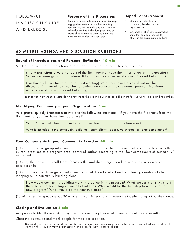## Follow- U p DISCUSSION GUIDE AND EXERCISE

#### **Purpose of this Discussion:**

For those individuals who were particularly engaged or excited by the last meeting, you can use this agenda and worksheet to delve deeper into individual programs or areas of your work to begin to generate more concrete ideas for next steps.

#### **Hoped-For Outcomes:**

- Identify opportunities for community building in your organization
- Generate a list of concrete practice shifts that can be proposed to others in the organization building

#### **60-M i n ute A g e nda and Dis c ussio n Q uestio n s**

#### **Round of Introductions and Personal Reflection 10 min**

Start with a round of introductions where people respond to the following question:

 (If any participants were not part of the first meeting, have them first reflect on this question) When you were growing up, where did you most feel a sense of community and belonging?

 (For those who participated in the first meeting) What most excited you about our last discussion?If time allows, ask for reflections on common themes across people's individual experience of community and belonging.

**Note:** you may want to write down answers to the second question on a flipchart for everyone to see and remember.

#### **Identifying Community in your Organization 5 min**

As a group, quickly brainstorm answers to the following questions. (If you have the flipcharts from the first meeting, you can have them up as well):

What "community building" activities do we have in our organization now?

Who is included in the community building – staff, clients, board, volunteers, or some combination?

#### **Four Components in your Community Exercise 40 min**

(10 min) Break the group into small teams of three to four participants and ask each one to assess the current practices of a program area identified earlier according to the "four components of community" worksheet.

(10 min) Then have the small teams focus on the worksheet's right-hand column to brainstorm some possible shifts.

(10 min) Once they have generated some ideas, ask them to reflect on the following questions to begin mapping out a community building plan:

 How would community building work in practice in this program? What concerns or risks might there be in implementing community building? What would be the first step to implement this new program? What would be the next two steps?

(10 min) After giving each group 30 minutes to work in teams, bring everyone together to report out their ideas.

#### **Closing and Evaluation 5 min**

Ask people to identify one thing they liked and one thing they would change about the conversation.

Close the discussion and thank people for their participation.

**Note:** if there was continued energy during this exercise, you may consider forming a group that will continue to work on this issue in your organization and plan for how to move ahead.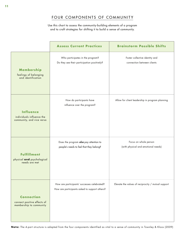## Four components oF communitY

Use this chart to assess the community-building elements of a program and to craft strategies for shifting it to build a sense of community.

|                                                                             | <b>Assess Current Practices</b>                                                              | <b>Brainstorm Possible Shifts</b>                            |
|-----------------------------------------------------------------------------|----------------------------------------------------------------------------------------------|--------------------------------------------------------------|
| Membership<br>feelings of belonging<br>and identification                   | Who participates in the program?<br>Do they see their participation positively?              | Foster collective identity and<br>connection between clients |
| <b>Influence</b><br>individuals influence the<br>community, and vice versa  | How do participants have<br>influence over the program?                                      | Allow for client leadership in program planning              |
| <b>Fulfillment</b><br>physical and psychological<br>needs are met           | Does the program also pay attention to<br>people's needs to feel that they belong?           | Focus on whole person<br>(with physical and emotional needs) |
| <b>Connection</b><br>connect positive effects of<br>membership to community | How are participants' successes celebrated?<br>How are participants asked to support others? | Elevate the values of reciprocity / mutual support           |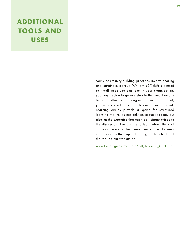# **add I T IOnal TOOLS AND USES**

Many community-building practices involve sharing and learning as a group. While this 5% shift is focused on small steps you can take in your organization, you may decide to go one step further and formally learn together on an ongoing basis. To do that, you may consider using a learning circle format. Learning circles provide a space for structured learning that relies not only on group reading, but also on the expertise that each participant brings to the discussion. The goal is to learn about the root causes of some of the issues clients face. To learn more about setting up a learning circle, check out the tool on our website at

www.buildingmovement.org/pdf/Learning\_Circle.pdf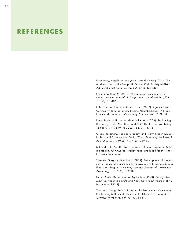# **REFEREncES**

Eikenberry, Angela M. and Jodie Drapal Kluver (2004). The Marketization of the Nonprofit Sector: Civil Society at Risk? *Public Administration Review, Vol. 64(2)*, 132-140.

Epstein, William M. (2010). Romanticism, community and social services. *Journal of Comparative Social Welfare, Vol. 26(2-3)*, 117-136.

Fabricant, Michael and Robert Fisher (2002). Agency Based Community Building in Low Income Neighborhoods: A Praxis Framework. *Journal of Community Practice, Vol. 10(2)*, 1-21.

Fiese, Barbara H. and Marlene Schwartz (2008). Reclaiming the Family Table: Mealtimes and Child Health and Wellbeing. *Social Policy Report, Vol. 22(4)*, pp. 3-9, 13-18.

Green, Rosemary, Raeleen Gregory, and Robyn Mason (2006). Professional Distance and Social Work: Stretching the Elastic? *Australian Social Work, Vol. 59(4)*, 449-461.

Schneider, Jo Ann (2004). The Role of Social Capital in Building Healthy Communities. Policy Paper produced for the Annie E. Casey Foundation

Townley, Greg and Bret Kloos (2009). Development of a Measure of Sense of Community for Individuals with Serious Mental Illness Residing in Community Settings. *Journal of Community Psychology, Vol. 37(3)*, 362-380.

United States Department of Agriculture (1993). *Family Style Meal Service in the Child and Adult Care Food Program*. (FNS Instructions 783-9).

Yan, Miu Chung (2004). Bridging the Fragmented Community: Revitalizing Settlement Houses in the Global Era. *Journal of Community Practice, Vol. 12(1/2)*, 51-69.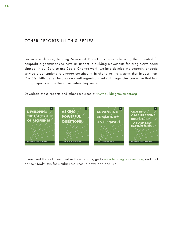### OTHER REPORTS IN THIS SERIES

For over a decade, Building Movement Project has been advancing the potential for nonprofit organizations to have an impact in building movements for progressive social change. In our Service and Social Change work, we help develop the capacity of social service organizations to engage constituents in changing the systems that impact them. Our 5% Shifts Series focuses on small organizational shifts agencies can make that lead to big impacts within the communities they serve.

Download these reports and other resources at www.buildingmovement.org



If you liked the tools compiled in these reports, go to www.buildingmovement.org and click on the "Tools" tab for similar resources to download and use.